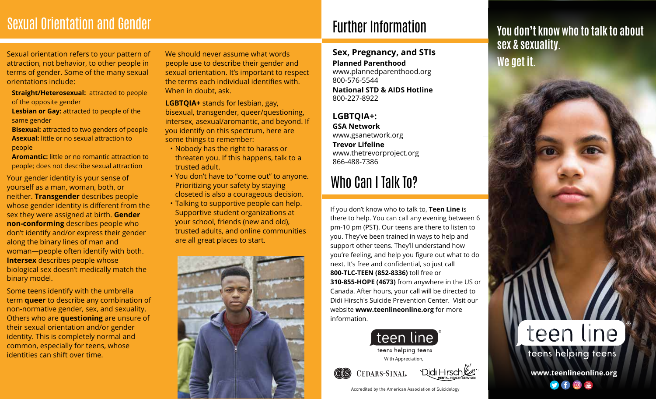### Sexual Orientation and Gender

Sexual orientation refers to your pattern of attraction, not behavior, to other people in terms of gender. Some of the many sexual orientations include:

- **Straight/Heterosexual: attracted to people** of the opposite gender
- **Lesbian or Gay:** attracted to people of the same gender
- **Bisexual:** attracted to two genders of people  **Asexual:** little or no sexual attraction to people
- **Aromantic:** little or no romantic attraction to people; does not describe sexual attraction

Your gender identity is your sense of yourself as a man, woman, both, or neither. **Transgender** describes people whose gender identity is different from the sex they were assigned at birth. **Gender non-conforming** describes people who don't identify and/or express their gender along the binary lines of man and woman—people often identify with both. **Intersex** describes people whose biological sex doesn't medically match the binary model.

Some teens identify with the umbrella term **queer** to describe any combination of non-normative gender, sex, and sexuality. Others who are **questioning** are unsure of their sexual orientation and/or gender identity. This is completely normal and common, especially for teens, whose identities can shift over time.

We should never assume what words people use to describe their gender and sexual orientation. It's important to respect the terms each individual identifies with. When in doubt, ask.

**LGBTQIA+** stands for lesbian, gay, bisexual, transgender, queer/questioning, intersex, asexual/aromantic, and beyond. If you identify on this spectrum, here are some things to remember:

- Nobody has the right to harass or threaten you. If this happens, talk to a trusted adult.
- You don't have to "come out" to anyone. Prioritizing your safety by staying closeted is also a courageous decision.
- Talking to supportive people can help. Supportive student organizations at your school, friends (new and old), trusted adults, and online communities are all great places to start.



## Further Information

**Sex, Pregnancy, and STIs Planned Parenthood** www.plannedparenthood.org 800-576-5544 **National STD & AIDS Hotline**

800-227-8922

### **LGBTQIA+:**

**GSA Network** www.gsanetwork.org **Trevor Lifeline** www.thetrevorproject.org 866-488-7386

## Who Can I Talk To?

If you don't know who to talk to, **Teen Line** is there to help. You can call any evening between 6 pm-10 pm (PST). Our teens are there to listen to you. They've been trained in ways to help and support other teens. They'll understand how you're feeling, and help you figure out what to do next. It's free and confidential, so just call **800-TLC-TEEN (852-8336)** toll free or **310-855-HOPE (4673)** from anywhere in the US or Canada. After hours, your call will be directed to Didi Hirsch's Suicide Prevention Center. Visit our website **www.teenlineonline.org** for more information.





Accredited by the American Association of Suicidology

### **You don't know who to talk to about sex & sexuality. We get it.**

**www.teenlineonline.org**

teen line

teens helping teens